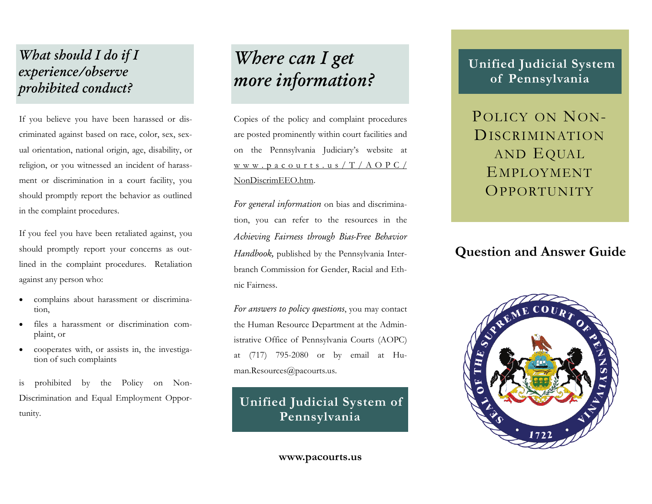### *What should I do if I experience/observe prohibited conduct?*

If you believe you have been harassed or discriminated against based on race, color, sex, sexual orientation, national origin, age, disability, or religion, or you witnessed an incident of harassment or discrimination in a court facility, you should promptly report the behavior as outlined in the complaint procedures.

If you feel you have been retaliated against, you should promptly report your concerns as outlined in the complaint procedures. Retaliation against any person who:

- complains about harassment or discrimination,
- files a harassment or discrimination complaint, or
- cooperates with, or assists in, the investigation of such complaints

is prohibited by the Policy on Non-Discrimination and Equal Employment Oppor-

# *Where can I get more information?*

Copies of the policy and complaint procedures are posted prominently within court facilities and on the Pennsylvania Judiciary's website at www.pacourts.us/T/AOPC/ NonDiscrimEEO.htm.

*For general information* on bias and discrimination, you can refer to the resources in the *Achieving Fairness through Bias-Free Behavior Handbook,* published by the Pennsylvania Interbranch Commission for Gender, Racial and Ethnic Fairness.

*For answers to policy questions*, you may contact the Human Resource Department at the Administrative Office of Pennsylvania Courts (AOPC) at (717) 795-2080 or by email at Human.Resources@pacourts.us.

# Discrimination and Equal Employment Opportunity.<br> **Unified Judicial System of**<br> **Pennsylvania**

#### **www.pacourts.us**

### **Unified Judicial System of Pennsylvania**

POLICY ON NON-DISCRIMINATIONAND EQUAL EMPLOYMENT**OPPORTUNITY** 

### **Question and Answer Guide**